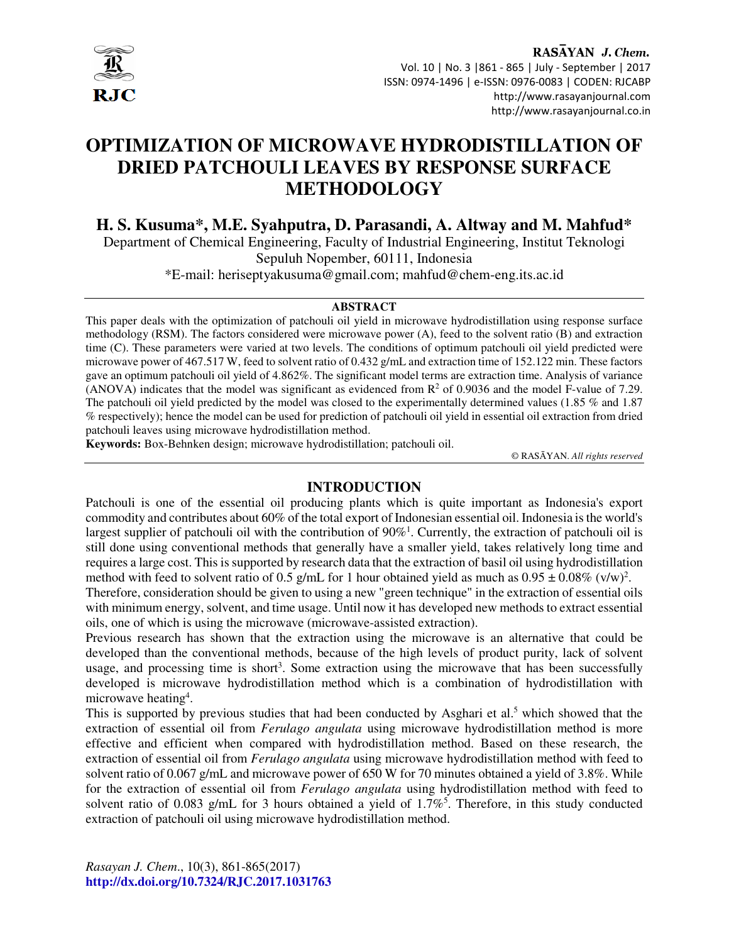

# **OPTIMIZATION OF MICROWAVE HYDRODISTILLATION OF DRIED PATCHOULI LEAVES BY RESPONSE SURFACE METHODOLOGY**

**H. S. Kusuma\*, M.E. Syahputra, D. Parasandi, A. Altway and M. Mahfud\***  Department of Chemical Engineering, Faculty of Industrial Engineering, Institut Teknologi Sepuluh Nopember, 60111, Indonesia

\*E-mail: heriseptyakusuma@gmail.com; mahfud@chem-eng.its.ac.id

#### **ABSTRACT**

This paper deals with the optimization of patchouli oil yield in microwave hydrodistillation using response surface methodology (RSM). The factors considered were microwave power (A), feed to the solvent ratio (B) and extraction time (C). These parameters were varied at two levels. The conditions of optimum patchouli oil yield predicted were microwave power of 467.517 W, feed to solvent ratio of 0.432 g/mL and extraction time of 152.122 min. These factors gave an optimum patchouli oil yield of 4.862%. The significant model terms are extraction time. Analysis of variance (ANOVA) indicates that the model was significant as evidenced from  $\mathbb{R}^2$  of 0.9036 and the model F-value of 7.29. The patchouli oil yield predicted by the model was closed to the experimentally determined values (1.85 % and 1.87 % respectively); hence the model can be used for prediction of patchouli oil yield in essential oil extraction from dried patchouli leaves using microwave hydrodistillation method.

**Keywords:** Box-Behnken design; microwave hydrodistillation; patchouli oil.

© RASĀYAN. *All rights reserved*

# **INTRODUCTION**

Patchouli is one of the essential oil producing plants which is quite important as Indonesia's export commodity and contributes about 60% of the total export of Indonesian essential oil. Indonesia is the world's largest supplier of patchouli oil with the contribution of  $90\%$ <sup>1</sup>. Currently, the extraction of patchouli oil is still done using conventional methods that generally have a smaller yield, takes relatively long time and requires a large cost. This is supported by research data that the extraction of basil oil using hydrodistillation method with feed to solvent ratio of 0.5 g/mL for 1 hour obtained yield as much as  $0.95 \pm 0.08\%$  (v/w)<sup>2</sup>.

Therefore, consideration should be given to using a new "green technique" in the extraction of essential oils with minimum energy, solvent, and time usage. Until now it has developed new methods to extract essential oils, one of which is using the microwave (microwave-assisted extraction).

Previous research has shown that the extraction using the microwave is an alternative that could be developed than the conventional methods, because of the high levels of product purity, lack of solvent usage, and processing time is short<sup>3</sup>. Some extraction using the microwave that has been successfully developed is microwave hydrodistillation method which is a combination of hydrodistillation with microwave heating<sup>4</sup>.

This is supported by previous studies that had been conducted by Asghari et al.<sup>5</sup> which showed that the extraction of essential oil from *Ferulago angulata* using microwave hydrodistillation method is more effective and efficient when compared with hydrodistillation method. Based on these research, the extraction of essential oil from *Ferulago angulata* using microwave hydrodistillation method with feed to solvent ratio of 0.067 g/mL and microwave power of 650 W for 70 minutes obtained a yield of 3.8%. While for the extraction of essential oil from *Ferulago angulata* using hydrodistillation method with feed to solvent ratio of 0.083 g/mL for 3 hours obtained a yield of  $1.7\%$ <sup>5</sup>. Therefore, in this study conducted extraction of patchouli oil using microwave hydrodistillation method.

*Rasayan J. Chem*., 10(3), 861-865(2017) **http://dx.doi.org/10.7324/RJC.2017.1031763**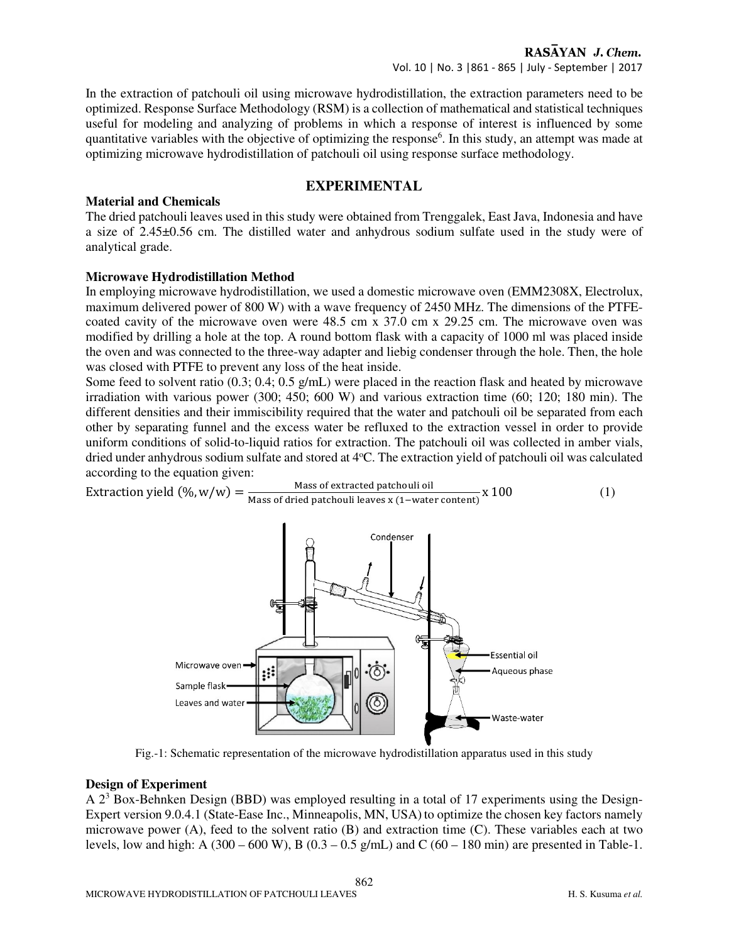In the extraction of patchouli oil using microwave hydrodistillation, the extraction parameters need to be optimized. Response Surface Methodology (RSM) is a collection of mathematical and statistical techniques useful for modeling and analyzing of problems in which a response of interest is influenced by some quantitative variables with the objective of optimizing the response<sup>6</sup>. In this study, an attempt was made at optimizing microwave hydrodistillation of patchouli oil using response surface methodology.

## **EXPERIMENTAL**

## **Material and Chemicals**

The dried patchouli leaves used in this study were obtained from Trenggalek, East Java, Indonesia and have a size of 2.45±0.56 cm. The distilled water and anhydrous sodium sulfate used in the study were of analytical grade.

## **Microwave Hydrodistillation Method**

In employing microwave hydrodistillation, we used a domestic microwave oven (EMM2308X, Electrolux, maximum delivered power of 800 W) with a wave frequency of 2450 MHz. The dimensions of the PTFEcoated cavity of the microwave oven were 48.5 cm x 37.0 cm x 29.25 cm. The microwave oven was modified by drilling a hole at the top. A round bottom flask with a capacity of 1000 ml was placed inside the oven and was connected to the three-way adapter and liebig condenser through the hole. Then, the hole was closed with PTFE to prevent any loss of the heat inside.

Some feed to solvent ratio (0.3; 0.4; 0.5 g/mL) were placed in the reaction flask and heated by microwave irradiation with various power (300; 450; 600 W) and various extraction time (60; 120; 180 min). The different densities and their immiscibility required that the water and patchouli oil be separated from each other by separating funnel and the excess water be refluxed to the extraction vessel in order to provide uniform conditions of solid-to-liquid ratios for extraction. The patchouli oil was collected in amber vials, dried under anhydrous sodium sulfate and stored at 4°C. The extraction yield of patchouli oil was calculated according to the equation given:

$$
Extraction yield (\%, w/w) = \frac{Mass of extracted patchoulli oil}{Mass of dried patchoulli leaves x (1-water content)} x 100
$$
 (1)



Fig.-1: Schematic representation of the microwave hydrodistillation apparatus used in this study

## **Design of Experiment**

A  $2<sup>3</sup>$  Box-Behnken Design (BBD) was employed resulting in a total of 17 experiments using the Design-Expert version 9.0.4.1 (State-Ease Inc., Minneapolis, MN, USA) to optimize the chosen key factors namely microwave power (A), feed to the solvent ratio (B) and extraction time (C). These variables each at two levels, low and high: A (300 – 600 W), B (0.3 – 0.5 g/mL) and C (60 – 180 min) are presented in Table-1.

862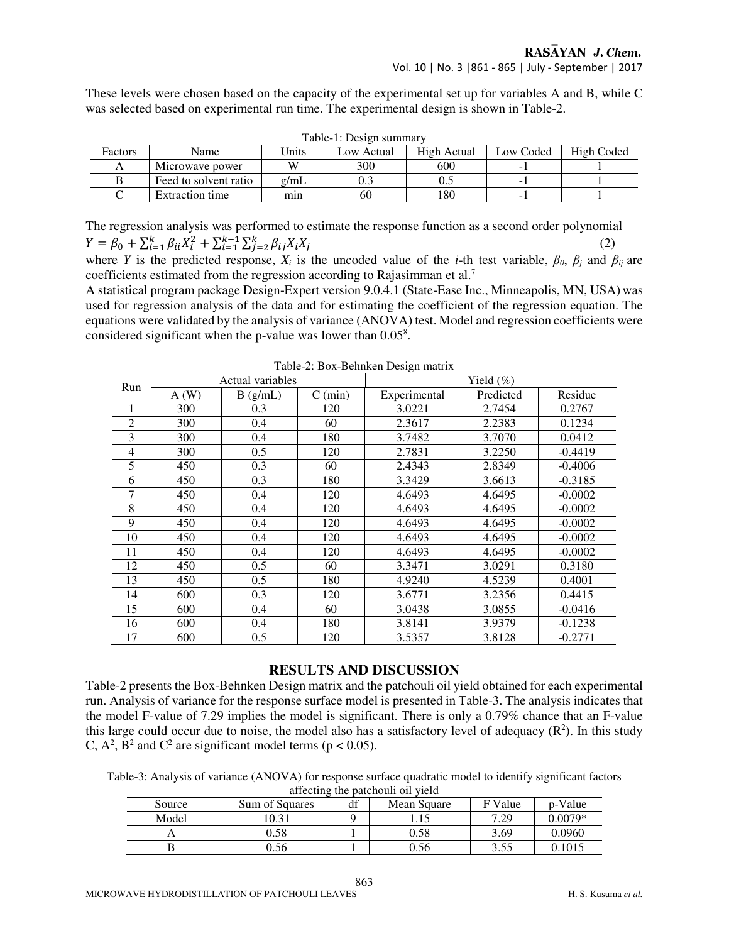These levels were chosen based on the capacity of the experimental set up for variables A and B, while C was selected based on experimental run time. The experimental design is shown in Table-2.

| таріс-т. резіён запінат |                       |                            |     |             |           |            |  |  |
|-------------------------|-----------------------|----------------------------|-----|-------------|-----------|------------|--|--|
| Factors                 | Name                  | <b>Jnits</b><br>Low Actual |     | High Actual | Low Coded | High Coded |  |  |
|                         | Microwave power       | W                          | 300 | 600         |           |            |  |  |
|                         | Feed to solvent ratio | $\sigma$ /mL               |     | U. .        |           |            |  |  |
|                         | Extraction time       | mın                        | 60  | 180         |           |            |  |  |

Table-1: Design summary

The regression analysis was performed to estimate the response function as a second order polynomial  $Y = \beta_0 + \sum_{i=1}^k \beta_{ii} X_i^2 + \sum_{i=1}^{k-1} \sum_{j=2}^k \beta_{ij} X_i X_j$  (2)

where *Y* is the predicted response,  $X_i$  is the uncoded value of the *i*-th test variable,  $\beta_0$ ,  $\beta_i$  and  $\beta_{ij}$  are coefficients estimated from the regression according to Rajasimman et al.<sup>7</sup>

A statistical program package Design-Expert version 9.0.4.1 (State-Ease Inc., Minneapolis, MN, USA) was used for regression analysis of the data and for estimating the coefficient of the regression equation. The equations were validated by the analysis of variance (ANOVA) test. Model and regression coefficients were considered significant when the p-value was lower than 0.05<sup>8</sup>.

| Run            | Actual variables |         |                   | Yield $(\%)$ |           |           |  |
|----------------|------------------|---------|-------------------|--------------|-----------|-----------|--|
|                | A(W)             | B(g/mL) | $C \text{ (min)}$ | Experimental | Predicted | Residue   |  |
|                | 300              | 0.3     | 120               | 3.0221       | 2.7454    | 0.2767    |  |
| $\overline{2}$ | 300              | 0.4     | 60                | 2.3617       | 2.2383    | 0.1234    |  |
| 3              | 300              | 0.4     | 180               | 3.7482       | 3.7070    | 0.0412    |  |
| 4              | 300              | 0.5     | 120               | 2.7831       | 3.2250    | $-0.4419$ |  |
| 5              | 450              | 0.3     | 60                | 2.4343       | 2.8349    | $-0.4006$ |  |
| 6              | 450              | 0.3     | 180               | 3.3429       | 3.6613    | $-0.3185$ |  |
| 7              | 450              | 0.4     | 120               | 4.6493       | 4.6495    | $-0.0002$ |  |
| 8              | 450              | 0.4     | 120               | 4.6493       | 4.6495    | $-0.0002$ |  |
| 9              | 450              | 0.4     | 120               | 4.6493       | 4.6495    | $-0.0002$ |  |
| 10             | 450              | 0.4     | 120               | 4.6493       | 4.6495    | $-0.0002$ |  |
| 11             | 450              | 0.4     | 120               | 4.6493       | 4.6495    | $-0.0002$ |  |
| 12             | 450              | 0.5     | 60                | 3.3471       | 3.0291    | 0.3180    |  |
| 13             | 450              | 0.5     | 180               | 4.9240       | 4.5239    | 0.4001    |  |
| 14             | 600              | 0.3     | 120               | 3.6771       | 3.2356    | 0.4415    |  |
| 15             | 600              | 0.4     | 60                | 3.0438       | 3.0855    | $-0.0416$ |  |
| 16             | 600              | 0.4     | 180               | 3.8141       | 3.9379    | $-0.1238$ |  |
| 17             | 600              | 0.5     | 120               | 3.5357       | 3.8128    | $-0.2771$ |  |

Table-2: Box-Behnken Design matrix

## **RESULTS AND DISCUSSION**

Table-2 presents the Box-Behnken Design matrix and the patchouli oil yield obtained for each experimental run. Analysis of variance for the response surface model is presented in Table-3. The analysis indicates that the model F-value of 7.29 implies the model is significant. There is only a 0.79% chance that an F-value this large could occur due to noise, the model also has a satisfactory level of adequacy  $(R^2)$ . In this study C,  $A^2$ ,  $B^2$  and C<sup>2</sup> are significant model terms ( $p < 0.05$ ).

Table-3: Analysis of variance (ANOVA) for response surface quadratic model to identify significant factors affecting the patchouli oil yield

| Source | Sum of Squares | df | Mean Square | F Value      | p-Value   |  |  |
|--------|----------------|----|-------------|--------------|-----------|--|--|
| Model  | 10.31          |    | 1. I J      | 7.29         | $0.0079*$ |  |  |
|        | 0.58           |    | 0.58        | 3.69         | 0.0960    |  |  |
|        | 0.56           |    | 0.56        | 255<br>ر ر.ر | .1015     |  |  |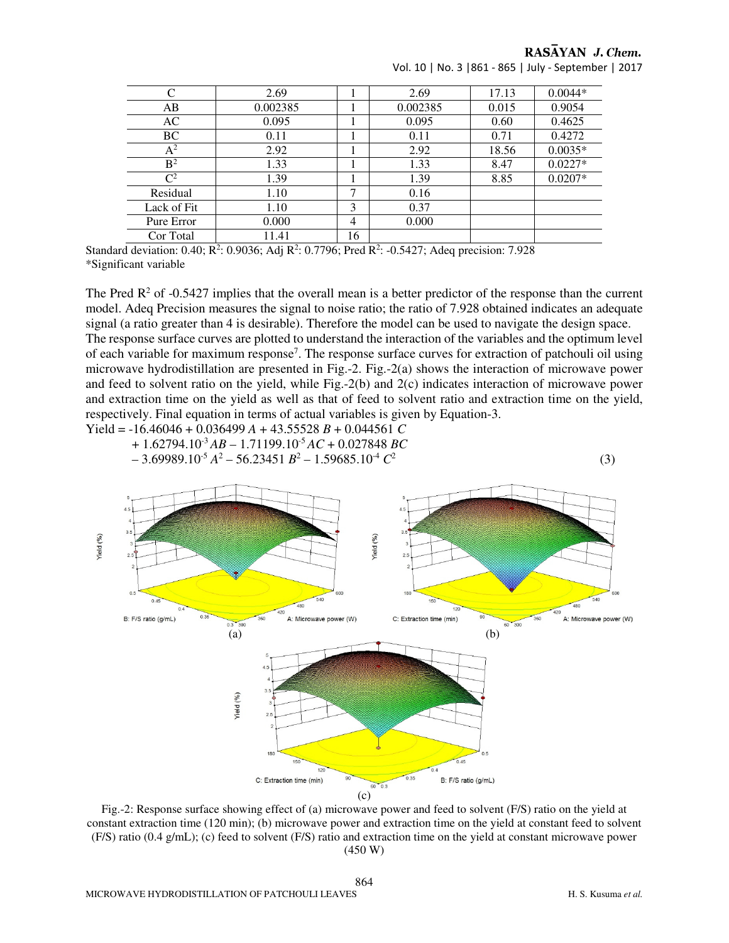RASAYAN J. Chem.

| C              | 2.69     |    | 2.69     | 17.13 | $0.0044*$ |
|----------------|----------|----|----------|-------|-----------|
| AB             | 0.002385 |    | 0.002385 | 0.015 | 0.9054    |
| AC             | 0.095    |    | 0.095    | 0.60  | 0.4625    |
| BC             | 0.11     |    | 0.11     | 0.71  | 0.4272    |
| $A^2$          | 2.92     |    | 2.92     | 18.56 | $0.0035*$ |
| B <sup>2</sup> | 1.33     |    | 1.33     | 8.47  | $0.0227*$ |
| $\mathsf{C}^2$ | 1.39     |    | 1.39     | 8.85  | $0.0207*$ |
| Residual       | 1.10     | 7  | 0.16     |       |           |
| Lack of Fit    | 1.10     | 3  | 0.37     |       |           |
| Pure Error     | 0.000    | 4  | 0.000    |       |           |
| Cor Total      | 11.41    | 16 |          |       |           |

Vol. 10 | No. 3 |861 - 865 | July - September | 2017

Standard deviation: 0.40; R<sup>2</sup>: 0.9036; Adj R<sup>2</sup>: 0.7796; Pred R<sup>2</sup>: -0.5427; Adeq precision: 7.928 \*Significant variable

The Pred  $\mathbb{R}^2$  of -0.5427 implies that the overall mean is a better predictor of the response than the current model. Adeq Precision measures the signal to noise ratio; the ratio of 7.928 obtained indicates an adequate signal (a ratio greater than 4 is desirable). Therefore the model can be used to navigate the design space. The response surface curves are plotted to understand the interaction of the variables and the optimum level of each variable for maximum response<sup>7</sup>. The response surface curves for extraction of patchouli oil using microwave hydrodistillation are presented in Fig.-2. Fig.-2(a) shows the interaction of microwave power and feed to solvent ratio on the yield, while Fig.-2(b) and 2(c) indicates interaction of microwave power and extraction time on the yield as well as that of feed to solvent ratio and extraction time on the yield, respectively. Final equation in terms of actual variables is given by Equation-3. Yield = -16.46046 + 0.036499 *A* + 43.55528 *B* + 0.044561 *C*

 + 1.62794.10-3 *AB* – 1.71199.10-5 *AC* + 0.027848 *BC*  $-3.69989.10^{5} A^{2} - 56.23451 B^{2} - 1.59685.10^{4} C^{2}$ (3)



Fig.-2: Response surface showing effect of (a) microwave power and feed to solvent (F/S) ratio on the yield at constant extraction time (120 min); (b) microwave power and extraction time on the yield at constant feed to solvent (F/S) ratio (0.4 g/mL); (c) feed to solvent (F/S) ratio and extraction time on the yield at constant microwave power (450 W)